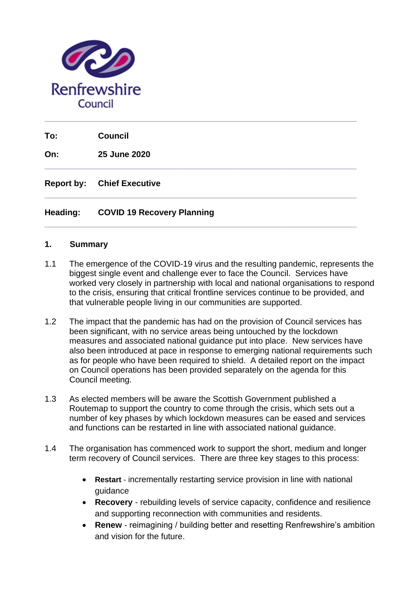

**To: Council**

**On: 25 June 2020**

**Report by: Chief Executive** 

### **Heading: COVID 19 Recovery Planning**

#### **1. Summary**

1.1 The emergence of the COVID-19 virus and the resulting pandemic, represents the biggest single event and challenge ever to face the Council. Services have worked very closely in partnership with local and national organisations to respond to the crisis, ensuring that critical frontline services continue to be provided, and that vulnerable people living in our communities are supported.

**\_\_\_\_\_\_\_\_\_\_\_\_\_\_\_\_\_\_\_\_\_\_\_\_\_\_\_\_\_\_\_\_\_\_\_\_\_\_\_\_\_\_\_\_\_\_\_\_\_\_\_\_\_\_\_\_\_\_\_\_\_\_\_\_\_\_\_**

**\_\_\_\_\_\_\_\_\_\_\_\_\_\_\_\_\_\_\_\_\_\_\_\_\_\_\_\_\_\_\_\_\_\_\_\_\_\_\_\_\_\_\_\_\_\_\_\_\_\_\_\_\_\_\_\_\_\_\_\_\_\_\_\_\_\_\_**

**\_\_\_\_\_\_\_\_\_\_\_\_\_\_\_\_\_\_\_\_\_\_\_\_\_\_\_\_\_\_\_\_\_\_\_\_\_\_\_\_\_\_\_\_\_\_\_\_\_\_\_\_\_\_\_\_\_\_\_\_\_\_\_\_\_\_\_**

- 1.2 The impact that the pandemic has had on the provision of Council services has been significant, with no service areas being untouched by the lockdown measures and associated national guidance put into place. New services have also been introduced at pace in response to emerging national requirements such as for people who have been required to shield. A detailed report on the impact on Council operations has been provided separately on the agenda for this Council meeting.
- 1.3 As elected members will be aware the Scottish Government published a Routemap to support the country to come through the crisis, which sets out a number of key phases by which lockdown measures can be eased and services and functions can be restarted in line with associated national guidance.
- 1.4 The organisation has commenced work to support the short, medium and longer term recovery of Council services. There are three key stages to this process:
	- **Restart** incrementally restarting service provision in line with national guidance
	- **Recovery** rebuilding levels of service capacity, confidence and resilience and supporting reconnection with communities and residents.
	- **Renew** reimagining / building better and resetting Renfrewshire's ambition and vision for the future.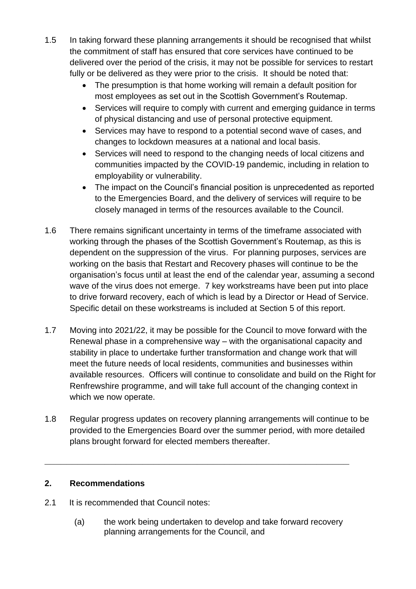- 1.5 In taking forward these planning arrangements it should be recognised that whilst the commitment of staff has ensured that core services have continued to be delivered over the period of the crisis, it may not be possible for services to restart fully or be delivered as they were prior to the crisis. It should be noted that:
	- The presumption is that home working will remain a default position for most employees as set out in the Scottish Government's Routemap.
	- Services will require to comply with current and emerging guidance in terms of physical distancing and use of personal protective equipment.
	- Services may have to respond to a potential second wave of cases, and changes to lockdown measures at a national and local basis.
	- Services will need to respond to the changing needs of local citizens and communities impacted by the COVID-19 pandemic, including in relation to employability or vulnerability.
	- The impact on the Council's financial position is unprecedented as reported to the Emergencies Board, and the delivery of services will require to be closely managed in terms of the resources available to the Council.
- 1.6 There remains significant uncertainty in terms of the timeframe associated with working through the phases of the Scottish Government's Routemap, as this is dependent on the suppression of the virus. For planning purposes, services are working on the basis that Restart and Recovery phases will continue to be the organisation's focus until at least the end of the calendar year, assuming a second wave of the virus does not emerge. 7 key workstreams have been put into place to drive forward recovery, each of which is lead by a Director or Head of Service. Specific detail on these workstreams is included at Section 5 of this report.
- 1.7 Moving into 2021/22, it may be possible for the Council to move forward with the Renewal phase in a comprehensive way – with the organisational capacity and stability in place to undertake further transformation and change work that will meet the future needs of local residents, communities and businesses within available resources. Officers will continue to consolidate and build on the Right for Renfrewshire programme, and will take full account of the changing context in which we now operate.
- 1.8 Regular progress updates on recovery planning arrangements will continue to be provided to the Emergencies Board over the summer period, with more detailed plans brought forward for elected members thereafter.

**\_\_\_\_\_\_\_\_\_\_\_\_\_\_\_\_\_\_\_\_\_\_\_\_\_\_\_\_\_\_\_\_\_\_\_\_\_\_\_\_\_\_\_\_\_\_\_\_\_\_\_\_\_\_\_\_**

# **2. Recommendations**

- 2.1 It is recommended that Council notes:
	- (a) the work being undertaken to develop and take forward recovery planning arrangements for the Council, and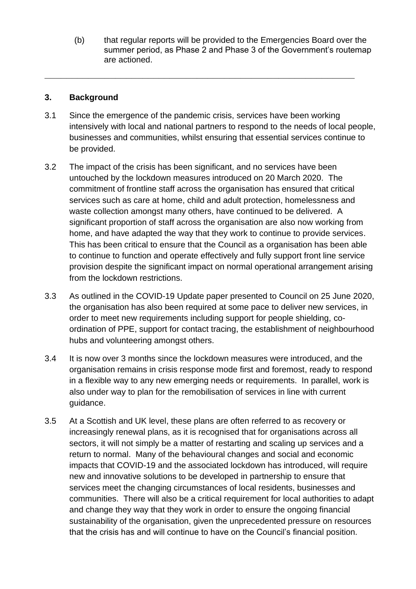(b) that regular reports will be provided to the Emergencies Board over the summer period, as Phase 2 and Phase 3 of the Government's routemap are actioned.

## **3. Background**

3.1 Since the emergence of the pandemic crisis, services have been working intensively with local and national partners to respond to the needs of local people, businesses and communities, whilst ensuring that essential services continue to be provided.

**\_\_\_\_\_\_\_\_\_\_\_\_\_\_\_\_\_\_\_\_\_\_\_\_\_\_\_\_\_\_\_\_\_\_\_\_\_\_\_\_\_\_\_\_\_\_\_\_\_\_\_\_\_\_\_\_\_**

- 3.2 The impact of the crisis has been significant, and no services have been untouched by the lockdown measures introduced on 20 March 2020. The commitment of frontline staff across the organisation has ensured that critical services such as care at home, child and adult protection, homelessness and waste collection amongst many others, have continued to be delivered. A significant proportion of staff across the organisation are also now working from home, and have adapted the way that they work to continue to provide services. This has been critical to ensure that the Council as a organisation has been able to continue to function and operate effectively and fully support front line service provision despite the significant impact on normal operational arrangement arising from the lockdown restrictions.
- 3.3 As outlined in the COVID-19 Update paper presented to Council on 25 June 2020, the organisation has also been required at some pace to deliver new services, in order to meet new requirements including support for people shielding, coordination of PPE, support for contact tracing, the establishment of neighbourhood hubs and volunteering amongst others.
- 3.4 It is now over 3 months since the lockdown measures were introduced, and the organisation remains in crisis response mode first and foremost, ready to respond in a flexible way to any new emerging needs or requirements. In parallel, work is also under way to plan for the remobilisation of services in line with current guidance.
- 3.5 At a Scottish and UK level, these plans are often referred to as recovery or increasingly renewal plans, as it is recognised that for organisations across all sectors, it will not simply be a matter of restarting and scaling up services and a return to normal. Many of the behavioural changes and social and economic impacts that COVID-19 and the associated lockdown has introduced, will require new and innovative solutions to be developed in partnership to ensure that services meet the changing circumstances of local residents, businesses and communities. There will also be a critical requirement for local authorities to adapt and change they way that they work in order to ensure the ongoing financial sustainability of the organisation, given the unprecedented pressure on resources that the crisis has and will continue to have on the Council's financial position.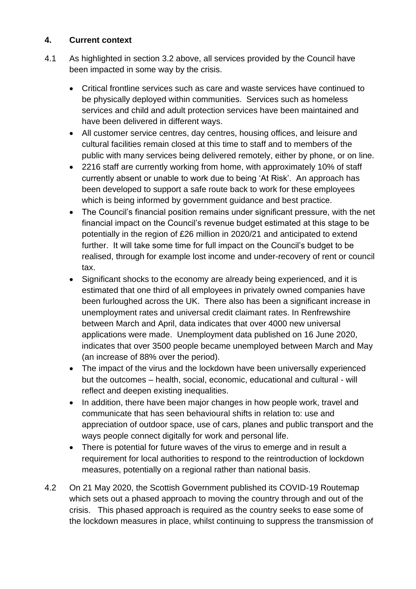# **4. Current context**

- 4.1 As highlighted in section 3.2 above, all services provided by the Council have been impacted in some way by the crisis.
	- Critical frontline services such as care and waste services have continued to be physically deployed within communities. Services such as homeless services and child and adult protection services have been maintained and have been delivered in different ways.
	- All customer service centres, day centres, housing offices, and leisure and cultural facilities remain closed at this time to staff and to members of the public with many services being delivered remotely, either by phone, or on line.
	- 2216 staff are currently working from home, with approximately 10% of staff currently absent or unable to work due to being 'At Risk'. An approach has been developed to support a safe route back to work for these employees which is being informed by government guidance and best practice.
	- The Council's financial position remains under significant pressure, with the net financial impact on the Council's revenue budget estimated at this stage to be potentially in the region of £26 million in 2020/21 and anticipated to extend further. It will take some time for full impact on the Council's budget to be realised, through for example lost income and under-recovery of rent or council tax.
	- Significant shocks to the economy are already being experienced, and it is estimated that one third of all employees in privately owned companies have been furloughed across the UK. There also has been a significant increase in unemployment rates and universal credit claimant rates. In Renfrewshire between March and April, data indicates that over 4000 new universal applications were made. Unemployment data published on 16 June 2020, indicates that over 3500 people became unemployed between March and May (an increase of 88% over the period).
	- The impact of the virus and the lockdown have been universally experienced but the outcomes – health, social, economic, educational and cultural - will reflect and deepen existing inequalities.
	- In addition, there have been major changes in how people work, travel and communicate that has seen behavioural shifts in relation to: use and appreciation of outdoor space, use of cars, planes and public transport and the ways people connect digitally for work and personal life.
	- There is potential for future waves of the virus to emerge and in result a requirement for local authorities to respond to the reintroduction of lockdown measures, potentially on a regional rather than national basis.
- 4.2 On 21 May 2020, the Scottish Government published its COVID-19 Routemap which sets out a phased approach to moving the country through and out of the crisis. This phased approach is required as the country seeks to ease some of the lockdown measures in place, whilst continuing to suppress the transmission of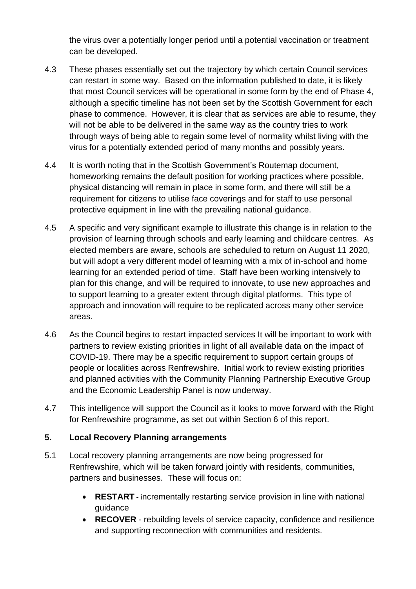the virus over a potentially longer period until a potential vaccination or treatment can be developed.

- 4.3 These phases essentially set out the trajectory by which certain Council services can restart in some way. Based on the information published to date, it is likely that most Council services will be operational in some form by the end of Phase 4, although a specific timeline has not been set by the Scottish Government for each phase to commence. However, it is clear that as services are able to resume, they will not be able to be delivered in the same way as the country tries to work through ways of being able to regain some level of normality whilst living with the virus for a potentially extended period of many months and possibly years.
- 4.4 It is worth noting that in the Scottish Government's Routemap document, homeworking remains the default position for working practices where possible, physical distancing will remain in place in some form, and there will still be a requirement for citizens to utilise face coverings and for staff to use personal protective equipment in line with the prevailing national guidance.
- 4.5 A specific and very significant example to illustrate this change is in relation to the provision of learning through schools and early learning and childcare centres. As elected members are aware, schools are scheduled to return on August 11 2020, but will adopt a very different model of learning with a mix of in-school and home learning for an extended period of time. Staff have been working intensively to plan for this change, and will be required to innovate, to use new approaches and to support learning to a greater extent through digital platforms. This type of approach and innovation will require to be replicated across many other service areas.
- 4.6 As the Council begins to restart impacted services It will be important to work with partners to review existing priorities in light of all available data on the impact of COVID-19. There may be a specific requirement to support certain groups of people or localities across Renfrewshire. Initial work to review existing priorities and planned activities with the Community Planning Partnership Executive Group and the Economic Leadership Panel is now underway.
- 4.7 This intelligence will support the Council as it looks to move forward with the Right for Renfrewshire programme, as set out within Section 6 of this report.

# **5. Local Recovery Planning arrangements**

- 5.1 Local recovery planning arrangements are now being progressed for Renfrewshire, which will be taken forward jointly with residents, communities, partners and businesses. These will focus on:
	- **RESTART - i**ncrementally restarting service provision in line with national guidance
	- **RECOVER** rebuilding levels of service capacity, confidence and resilience and supporting reconnection with communities and residents.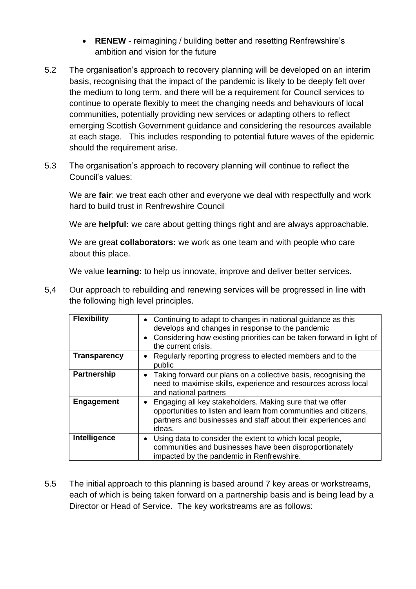- **RENEW** reimagining / building better and resetting Renfrewshire's ambition and vision for the future
- 5.2 The organisation's approach to recovery planning will be developed on an interim basis, recognising that the impact of the pandemic is likely to be deeply felt over the medium to long term, and there will be a requirement for Council services to continue to operate flexibly to meet the changing needs and behaviours of local communities, potentially providing new services or adapting others to reflect emerging Scottish Government guidance and considering the resources available at each stage. This includes responding to potential future waves of the epidemic should the requirement arise.
- 5.3 The organisation's approach to recovery planning will continue to reflect the Council's values:

We are **fair**: we treat each other and everyone we deal with respectfully and work hard to build trust in Renfrewshire Council

We are **helpful:** we care about getting things right and are always approachable.

We are great **collaborators:** we work as one team and with people who care about this place.

We value **learning:** to help us innovate, improve and deliver better services.

5,4 Our approach to rebuilding and renewing services will be progressed in line with the following high level principles.

| <b>Flexibility</b>  | • Continuing to adapt to changes in national guidance as this<br>develops and changes in response to the pandemic<br>Considering how existing priorities can be taken forward in light of<br>$\bullet$<br>the current crisis. |
|---------------------|-------------------------------------------------------------------------------------------------------------------------------------------------------------------------------------------------------------------------------|
| <b>Transparency</b> | Regularly reporting progress to elected members and to the<br>public                                                                                                                                                          |
| <b>Partnership</b>  | Taking forward our plans on a collective basis, recognising the<br>$\bullet$<br>need to maximise skills, experience and resources across local<br>and national partners                                                       |
| <b>Engagement</b>   | Engaging all key stakeholders. Making sure that we offer<br>$\bullet$<br>opportunities to listen and learn from communities and citizens,<br>partners and businesses and staff about their experiences and<br>ideas.          |
| Intelligence        | Using data to consider the extent to which local people,<br>$\bullet$<br>communities and businesses have been disproportionately<br>impacted by the pandemic in Renfrewshire.                                                 |

5.5 The initial approach to this planning is based around 7 key areas or workstreams, each of which is being taken forward on a partnership basis and is being lead by a Director or Head of Service. The key workstreams are as follows: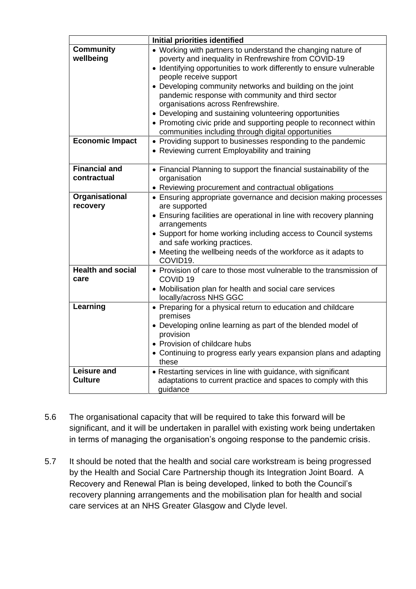|                                                         | Initial priorities identified                                                                                                                                                                                                                                                                                                                                                                                                                                                                                                                                                                                                                                                          |
|---------------------------------------------------------|----------------------------------------------------------------------------------------------------------------------------------------------------------------------------------------------------------------------------------------------------------------------------------------------------------------------------------------------------------------------------------------------------------------------------------------------------------------------------------------------------------------------------------------------------------------------------------------------------------------------------------------------------------------------------------------|
| <b>Community</b><br>wellbeing<br><b>Economic Impact</b> | • Working with partners to understand the changing nature of<br>poverty and inequality in Renfrewshire from COVID-19<br>• Identifying opportunities to work differently to ensure vulnerable<br>people receive support<br>• Developing community networks and building on the joint<br>pandemic response with community and third sector<br>organisations across Renfrewshire.<br>• Developing and sustaining volunteering opportunities<br>• Promoting civic pride and supporting people to reconnect within<br>communities including through digital opportunities<br>• Providing support to businesses responding to the pandemic<br>• Reviewing current Employability and training |
|                                                         |                                                                                                                                                                                                                                                                                                                                                                                                                                                                                                                                                                                                                                                                                        |
| <b>Financial and</b><br>contractual                     | • Financial Planning to support the financial sustainability of the<br>organisation<br>• Reviewing procurement and contractual obligations                                                                                                                                                                                                                                                                                                                                                                                                                                                                                                                                             |
| Organisational<br>recovery                              | • Ensuring appropriate governance and decision making processes<br>are supported<br>• Ensuring facilities are operational in line with recovery planning<br>arrangements<br>• Support for home working including access to Council systems<br>and safe working practices.<br>• Meeting the wellbeing needs of the workforce as it adapts to<br>COVID <sub>19</sub> .                                                                                                                                                                                                                                                                                                                   |
| <b>Health and social</b><br>care                        | • Provision of care to those most vulnerable to the transmission of<br>COVID <sub>19</sub><br>• Mobilisation plan for health and social care services<br>locally/across NHS GGC                                                                                                                                                                                                                                                                                                                                                                                                                                                                                                        |
| Learning                                                | • Preparing for a physical return to education and childcare<br>premises<br>• Developing online learning as part of the blended model of<br>provision<br>• Provision of childcare hubs<br>• Continuing to progress early years expansion plans and adapting<br>these                                                                                                                                                                                                                                                                                                                                                                                                                   |
| <b>Leisure and</b><br><b>Culture</b>                    | • Restarting services in line with guidance, with significant<br>adaptations to current practice and spaces to comply with this<br>guidance                                                                                                                                                                                                                                                                                                                                                                                                                                                                                                                                            |

- 5.6 The organisational capacity that will be required to take this forward will be significant, and it will be undertaken in parallel with existing work being undertaken in terms of managing the organisation's ongoing response to the pandemic crisis.
- 5.7 It should be noted that the health and social care workstream is being progressed by the Health and Social Care Partnership though its Integration Joint Board. A Recovery and Renewal Plan is being developed, linked to both the Council's recovery planning arrangements and the mobilisation plan for health and social care services at an NHS Greater Glasgow and Clyde level.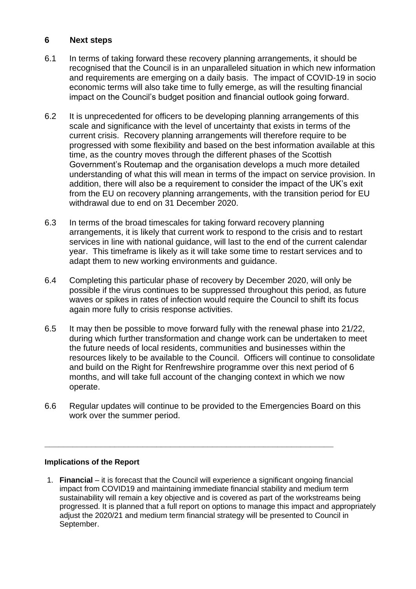### **6 Next steps**

- 6.1 In terms of taking forward these recovery planning arrangements, it should be recognised that the Council is in an unparalleled situation in which new information and requirements are emerging on a daily basis. The impact of COVID-19 in socio economic terms will also take time to fully emerge, as will the resulting financial impact on the Council's budget position and financial outlook going forward.
- 6.2 It is unprecedented for officers to be developing planning arrangements of this scale and significance with the level of uncertainty that exists in terms of the current crisis. Recovery planning arrangements will therefore require to be progressed with some flexibility and based on the best information available at this time, as the country moves through the different phases of the Scottish Government's Routemap and the organisation develops a much more detailed understanding of what this will mean in terms of the impact on service provision. In addition, there will also be a requirement to consider the impact of the UK's exit from the EU on recovery planning arrangements, with the transition period for EU withdrawal due to end on 31 December 2020.
- 6.3 In terms of the broad timescales for taking forward recovery planning arrangements, it is likely that current work to respond to the crisis and to restart services in line with national guidance, will last to the end of the current calendar year. This timeframe is likely as it will take some time to restart services and to adapt them to new working environments and guidance.
- 6.4 Completing this particular phase of recovery by December 2020, will only be possible if the virus continues to be suppressed throughout this period, as future waves or spikes in rates of infection would require the Council to shift its focus again more fully to crisis response activities.
- 6.5 It may then be possible to move forward fully with the renewal phase into 21/22, during which further transformation and change work can be undertaken to meet the future needs of local residents, communities and businesses within the resources likely to be available to the Council. Officers will continue to consolidate and build on the Right for Renfrewshire programme over this next period of 6 months, and will take full account of the changing context in which we now operate.
- 6.6 Regular updates will continue to be provided to the Emergencies Board on this work over the summer period.

**\_\_\_\_\_\_\_\_\_\_\_\_\_\_\_\_\_\_\_\_\_\_\_\_\_\_\_\_\_\_\_\_\_\_\_\_\_\_\_\_\_\_\_\_\_\_\_\_\_\_\_\_\_\_\_\_\_\_\_\_\_\_**

#### **Implications of the Report**

1. **Financial** – it is forecast that the Council will experience a significant ongoing financial impact from COVID19 and maintaining immediate financial stability and medium term sustainability will remain a key objective and is covered as part of the workstreams being progressed. It is planned that a full report on options to manage this impact and appropriately adjust the 2020/21 and medium term financial strategy will be presented to Council in September.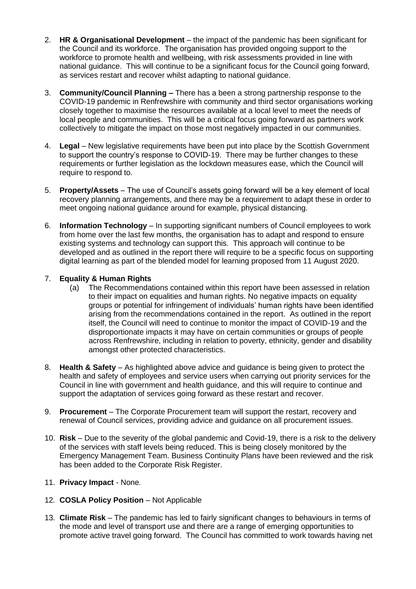- 2. **HR & Organisational Development** the impact of the pandemic has been significant for the Council and its workforce. The organisation has provided ongoing support to the workforce to promote health and wellbeing, with risk assessments provided in line with national guidance. This will continue to be a significant focus for the Council going forward, as services restart and recover whilst adapting to national guidance.
- 3. **Community/Council Planning –** There has a been a strong partnership response to the COVID-19 pandemic in Renfrewshire with community and third sector organisations working closely together to maximise the resources available at a local level to meet the needs of local people and communities. This will be a critical focus going forward as partners work collectively to mitigate the impact on those most negatively impacted in our communities.
- 4. **Legal** New legislative requirements have been put into place by the Scottish Government to support the country's response to COVID-19. There may be further changes to these requirements or further legislation as the lockdown measures ease, which the Council will require to respond to.
- 5. **Property/Assets** The use of Council's assets going forward will be a key element of local recovery planning arrangements, and there may be a requirement to adapt these in order to meet ongoing national guidance around for example, physical distancing.
- 6. **Information Technology** In supporting significant numbers of Council employees to work from home over the last few months, the organisation has to adapt and respond to ensure existing systems and technology can support this. This approach will continue to be developed and as outlined in the report there will require to be a specific focus on supporting digital learning as part of the blended model for learning proposed from 11 August 2020.

#### 7. **Equality & Human Rights**

- (a) The Recommendations contained within this report have been assessed in relation to their impact on equalities and human rights. No negative impacts on equality groups or potential for infringement of individuals' human rights have been identified arising from the recommendations contained in the report. As outlined in the report itself, the Council will need to continue to monitor the impact of COVID-19 and the disproportionate impacts it may have on certain communities or groups of people across Renfrewshire, including in relation to poverty, ethnicity, gender and disability amongst other protected characteristics.
- 8. **Health & Safety** As highlighted above advice and guidance is being given to protect the health and safety of employees and service users when carrying out priority services for the Council in line with government and health guidance, and this will require to continue and support the adaptation of services going forward as these restart and recover.
- 9. **Procurement** The Corporate Procurement team will support the restart, recovery and renewal of Council services, providing advice and guidance on all procurement issues.
- 10. **Risk** Due to the severity of the global pandemic and Covid-19, there is a risk to the delivery of the services with staff levels being reduced. This is being closely monitored by the Emergency Management Team. Business Continuity Plans have been reviewed and the risk has been added to the Corporate Risk Register.
- 11. **Privacy Impact** None*.*
- 12*.* **COSLA Policy Position** Not Applicable
- 13*.* **Climate Risk** The pandemic has led to fairly significant changes to behaviours in terms of the mode and level of transport use and there are a range of emerging opportunities to promote active travel going forward. The Council has committed to work towards having net